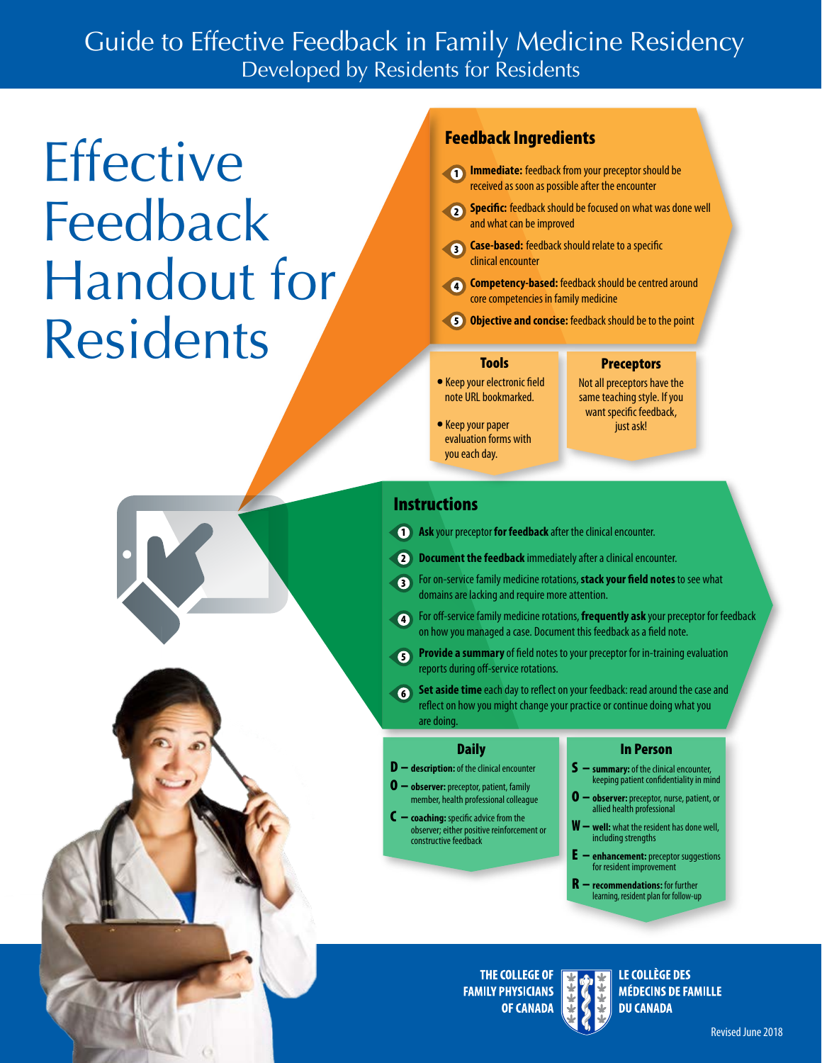### Guide to Effective Feedback in Family Medicine Residency Developed by Residents for Residents

# **Effective** Feedback Handout for Residents

### Feedback Ingredients

- **1 Immediate:** feedback from your preceptor should be received as soon as possible after the encounter
- **2 Specific:** feedback should be focused on what was done well and what can be improved
- **3** Case-based: feedback should relate to a specific clinical encounter
- **4 Competency-based:** feedback should be centred around core competencies in family medicine
- **5** Objective and concise: feedback should be to the point

#### Tools

- **•** Keep your electronic feld note URL bookmarked.
- **•** Keep your paper evaluation forms with you each day.

#### **Preceptors** Not all preceptors have the same teaching style. If you

want specific feedback, just ask!

### **Instructions**

- **1** Ask your preceptor for feedback after the clinical encounter.
- **2 Document the feedback** immediately after a clinical encounter.
- 3 For on-service family medicine rotations, **stack your feld notes** to see what domains are lacking and require more attention.
- 4 For off-service family medicine rotations, **frequently ask** your preceptor for feedback on how you managed a case. Document this feedback as a feld note.
- **5 Provide a summary** of field notes to your preceptor for in-training evaluation reports during off-service rotations.
- **6** Set aside time each day to reflect on your feedback: read around the case and refect on how you might change your practice or continue doing what you are doing.

- 
- **O** observer: preceptor, patient, family
- $\mathsf{C}$  **coaching:** specific advice from the  $\mathsf{W}$   $\mathsf{w}$ **=**  $\mathsf{w}$ **<sup>11</sup>:** what the resident has done well

#### Daily In Person

- **D description:** of the clinical encounter **S summary:** of the clinical encounter,
	- member, health professional colleague **O observer:** preceptor, nurse, patient, or<br>allied health professional
	- observer; either positive reinforcement or W **well:** what the resident has done well, constructive feedback including strengths
		- **enhancement:** preceptor suggestions for resident improvement
		- **recommendations:** for further learning, resident plan for follow-up

**THE COLLEGE OF FAMILY PHYSICIANS OF CANADA** 

LE COLLÈGE DES **MÉDECINS DE FAMILLE DU CANADA**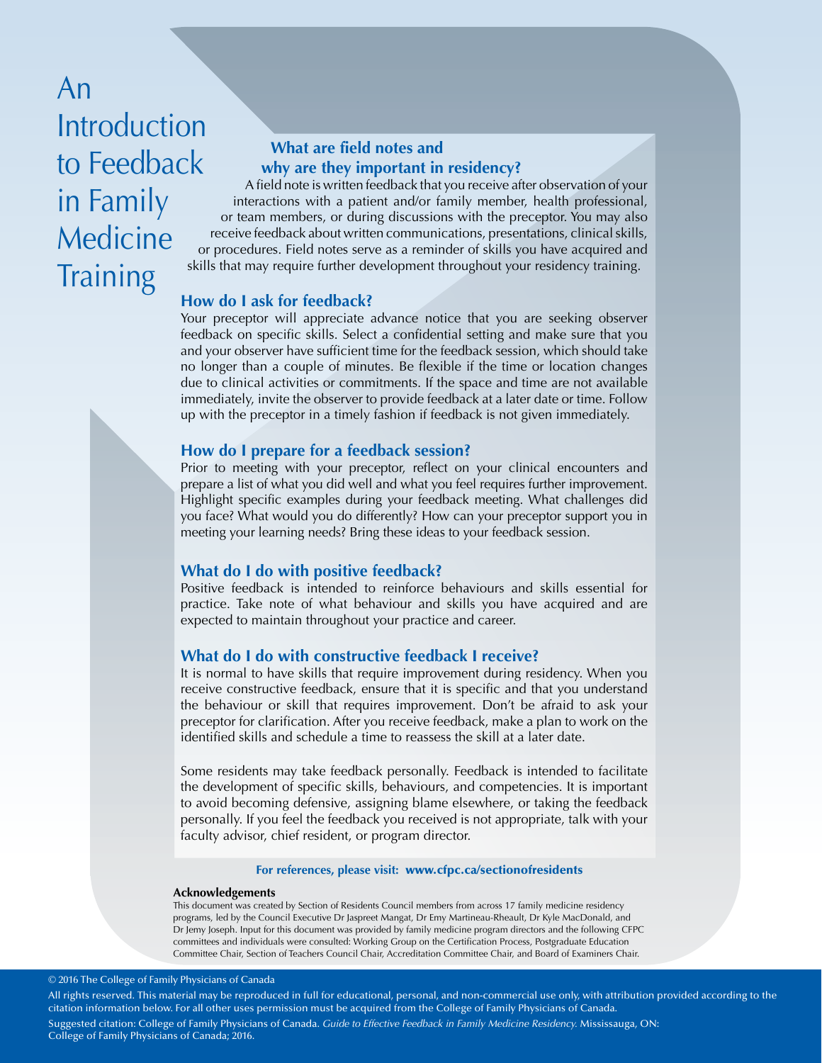# An **Introduction** in Family Medicine **Training**

## **What are field notes and** to Feedback **why are they important in residency?**

A field note is written feedback that you receive after observation of your interactions with a patient and/or family member, health professional, or team members, or during discussions with the preceptor. You may also receive feedback about written communications, presentations, clinical skills, or procedures. Field notes serve as a reminder of skills you have acquired and skills that may require further development throughout your residency training.

#### **How do I ask for feedback?**

Your preceptor will appreciate advance notice that you are seeking observer feedback on specific skills. Select a confidential setting and make sure that you and your observer have sufficient time for the feedback session, which should take no longer than a couple of minutes. Be flexible if the time or location changes due to clinical activities or commitments. If the space and time are not available immediately, invite the observer to provide feedback at a later date or time. Follow up with the preceptor in a timely fashion if feedback is not given immediately.

#### **How do I prepare for a feedback session?**

Prior to meeting with your preceptor, reflect on your clinical encounters and prepare a list of what you did well and what you feel requires further improvement. Highlight specific examples during your feedback meeting. What challenges did you face? What would you do differently? How can your preceptor support you in meeting your learning needs? Bring these ideas to your feedback session.

#### **What do I do with positive feedback?**

Positive feedback is intended to reinforce behaviours and skills essential for practice. Take note of what behaviour and skills you have acquired and are expected to maintain throughout your practice and career.

#### **What do I do with constructive feedback I receive?**

It is normal to have skills that require improvement during residency. When you receive constructive feedback, ensure that it is specific and that you understand the behaviour or skill that requires improvement. Don't be afraid to ask your preceptor for clarification. After you receive feedback, make a plan to work on the identified skills and schedule a time to reassess the skill at a later date.

Some residents may take feedback personally. Feedback is intended to facilitate the development of specific skills, behaviours, and competencies. It is important to avoid becoming defensive, assigning blame elsewhere, or taking the feedback personally. If you feel the feedback you received is not appropriate, talk with your faculty advisor, chief resident, or program director.

#### **For references, please visit:** <www.cfpc.ca/sectionofresidents>

#### **Acknowledgements**

This document was created by Section of Residents Council members from across 17 family medicine residency programs, led by the Council Executive Dr Jaspreet Mangat, Dr Emy Martineau-Rheault, Dr Kyle MacDonald, and Dr Jemy Joseph. Input for this document was provided by family medicine program directors and the following CFPC committees and individuals were consulted: Working Group on the Certification Process, Postgraduate Education Committee Chair, Section of Teachers Council Chair, Accreditation Committee Chair, and Board of Examiners Chair.

#### © 2016 The College of Family Physicians of Canada

All rights reserved. This material may be reproduced in full for educational, personal, and non-commercial use only, with attribution provided according to the citation information below. For all other uses permission must be acquired from the College of Family Physicians of Canada. Suggested citation: College of Family Physicians of Canada. *Guide to Effective Feedback in Family Medicine Residency.* Mississauga, ON: College of Family Physicians of Canada; 2016.